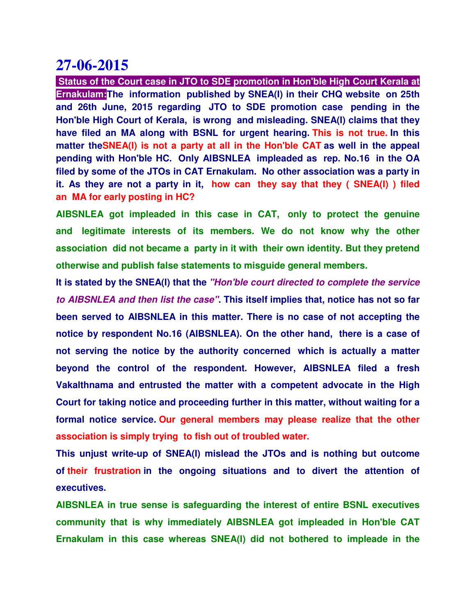**Status of the Court case in JTO to SDE promotion in Hon'ble High Court Kerala at Ernakulam:The information published by SNEA(I) in their CHQ website on 25th and 26th June, 2015 regarding JTO to SDE promotion case pending in the Hon'ble High Court of Kerala, is wrong and misleading. SNEA(I) claims that they have filed an MA along with BSNL for urgent hearing. This is not true. In this matter theSNEA(I) is not a party at all in the Hon'ble CAT as well in the appeal pending with Hon'ble HC. Only AIBSNLEA impleaded as rep. No.16 in the OA filed by some of the JTOs in CAT Ernakulam. No other association was a party in it. As they are not a party in it, how can they say that they ( SNEA(I) ) filed an MA for early posting in HC?**

**AIBSNLEA got impleaded in this case in CAT, only to protect the genuine and legitimate interests of its members. We do not know why the other association did not became a party in it with their own identity. But they pretend otherwise and publish false statements to misguide general members.**

**It is stated by the SNEA(I) that the "Hon'ble court directed to complete the service to AIBSNLEA and then list the case". This itself implies that, notice has not so far been served to AIBSNLEA in this matter. There is no case of not accepting the notice by respondent No.16 (AIBSNLEA). On the other hand, there is a case of not serving the notice by the authority concerned which is actually a matter beyond the control of the respondent. However, AIBSNLEA filed a fresh Vakalthnama and entrusted the matter with a competent advocate in the High Court for taking notice and proceeding further in this matter, without waiting for a formal notice service. Our general members may please realize that the other association is simply trying to fish out of troubled water.**

**This unjust write-up of SNEA(I) mislead the JTOs and is nothing but outcome of their frustration in the ongoing situations and to divert the attention of executives.**

**AIBSNLEA in true sense is safeguarding the interest of entire BSNL executives community that is why immediately AIBSNLEA got impleaded in Hon'ble CAT Ernakulam in this case whereas SNEA(I) did not bothered to impleade in the**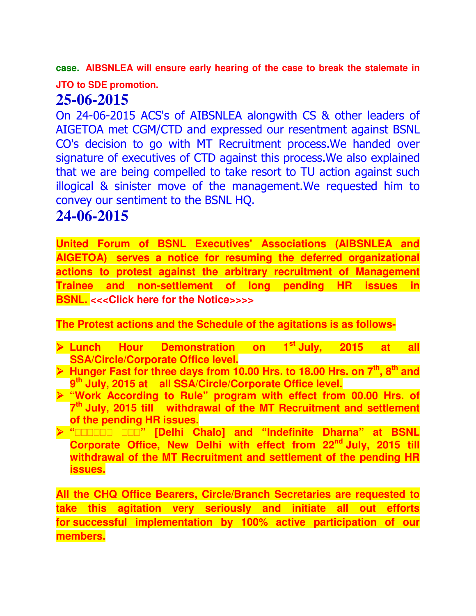**case. AIBSNLEA will ensure early hearing of the case to break the stalemate in** 

**JTO to SDE promotion.**

## **25-06-2015**

On 24-06-2015 ACS's of AIBSNLEA alongwith CS & other leaders of AIGETOA met CGM/CTD and expressed our resentment against BSNL CO's decision to go with MT Recruitment process.We handed over signature of executives of CTD against this process.We also explained that we are being compelled to take resort to TU action against such illogical & sinister move of the management.We requested him to convey our sentiment to the BSNL HQ.

## **24-06-2015**

**United Forum of BSNL Executives' Associations (AIBSNLEA and AIGETOA) serves a notice for resuming the deferred organizational actions to protest against the arbitrary recruitment of Management Trainee and non-settlement of long pending HR issues in BSNL.** <<< Click here for the Notice>>>>

**The Protest actions and the Schedule of the agitations is as follows-**

- **Lunch Hour Demonstration on 1st July, 2015 at all SSA/Circle/Corporate Office level.**
- **Hunger Fast for three days from 10.00 Hrs. to 18.00 Hrs. on 7th, 8th and 9 th July, 2015 at all SSA/Circle/Corporate Office level.**
- **"Work According to Rule" program with effect from 00.00 Hrs. of 7 th July, 2015 till withdrawal of the MT Recruitment and settlement of the pending HR issues.**
- **" " [Delhi Chalo] and "Indefinite Dharna" at BSNL Corporate Office, New Delhi with effect from 22nd July, 2015 till withdrawal of the MT Recruitment and settlement of the pending HR issues.**

**All the CHQ Office Bearers, Circle/Branch Secretaries are requested to take this agitation very seriously and initiate all out efforts for successful implementation by 100% active participation of our members.**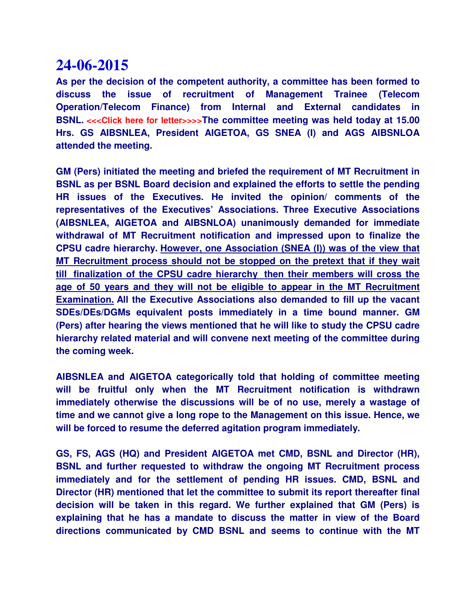**As per the decision of the competent authority, a committee has been formed to discuss the issue of recruitment of Management Trainee (Telecom Operation/Telecom Finance) from Internal and External candidates in BSNL.** <<< Click here for letter>>>>> The committee meeting was held today at 15.00 **Hrs. GS AIBSNLEA, President AIGETOA, GS SNEA (I) and AGS AIBSNLOA attended the meeting.**

**GM (Pers) initiated the meeting and briefed the requirement of MT Recruitment in BSNL as per BSNL Board decision and explained the efforts to settle the pending HR issues of the Executives. He invited the opinion/ comments of the representatives of the Executives' Associations. Three Executive Associations (AIBSNLEA, AIGETOA and AIBSNLOA) unanimously demanded for immediate withdrawal of MT Recruitment notification and impressed upon to finalize the CPSU cadre hierarchy. However, one Association (SNEA (I)) was of the view that MT Recruitment process should not be stopped on the pretext that if they wait till finalization of the CPSU cadre hierarchy then their members will cross the age of 50 years and they will not be eligible to appear in the MT Recruitment Examination. All the Executive Associations also demanded to fill up the vacant SDEs/DEs/DGMs equivalent posts immediately in a time bound manner. GM (Pers) after hearing the views mentioned that he will like to study the CPSU cadre hierarchy related material and will convene next meeting of the committee during the coming week.**

**AIBSNLEA and AIGETOA categorically told that holding of committee meeting will be fruitful only when the MT Recruitment notification is withdrawn immediately otherwise the discussions will be of no use, merely a wastage of time and we cannot give a long rope to the Management on this issue. Hence, we will be forced to resume the deferred agitation program immediately.**

**GS, FS, AGS (HQ) and President AIGETOA met CMD, BSNL and Director (HR), BSNL and further requested to withdraw the ongoing MT Recruitment process immediately and for the settlement of pending HR issues. CMD, BSNL and Director (HR) mentioned that let the committee to submit its report thereafter final decision will be taken in this regard. We further explained that GM (Pers) is explaining that he has a mandate to discuss the matter in view of the Board directions communicated by CMD BSNL and seems to continue with the MT**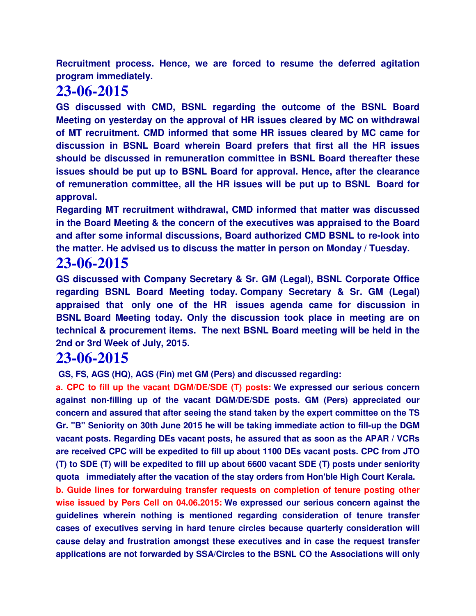**Recruitment process. Hence, we are forced to resume the deferred agitation program immediately.**

## **23-06-2015**

**GS discussed with CMD, BSNL regarding the outcome of the BSNL Board Meeting on yesterday on the approval of HR issues cleared by MC on withdrawal of MT recruitment. CMD informed that some HR issues cleared by MC came for discussion in BSNL Board wherein Board prefers that first all the HR issues should be discussed in remuneration committee in BSNL Board thereafter these issues should be put up to BSNL Board for approval. Hence, after the clearance of remuneration committee, all the HR issues will be put up to BSNL Board for approval.**

**Regarding MT recruitment withdrawal, CMD informed that matter was discussed in the Board Meeting & the concern of the executives was appraised to the Board and after some informal discussions, Board authorized CMD BSNL to re-look into the matter. He advised us to discuss the matter in person on Monday / Tuesday.**

## **23-06-2015**

**GS discussed with Company Secretary & Sr. GM (Legal), BSNL Corporate Office regarding BSNL Board Meeting today. Company Secretary & Sr. GM (Legal) appraised that only one of the HR issues agenda came for discussion in BSNL Board Meeting today. Only the discussion took place in meeting are on technical & procurement items. The next BSNL Board meeting will be held in the 2nd or 3rd Week of July, 2015.**

## **23-06-2015**

 **GS, FS, AGS (HQ), AGS (Fin) met GM (Pers) and discussed regarding:**

**a. CPC to fill up the vacant DGM/DE/SDE (T) posts: We expressed our serious concern against non-filling up of the vacant DGM/DE/SDE posts. GM (Pers) appreciated our concern and assured that after seeing the stand taken by the expert committee on the TS Gr. "B" Seniority on 30th June 2015 he will be taking immediate action to fill-up the DGM vacant posts. Regarding DEs vacant posts, he assured that as soon as the APAR / VCRs are received CPC will be expedited to fill up about 1100 DEs vacant posts. CPC from JTO (T) to SDE (T) will be expedited to fill up about 6600 vacant SDE (T) posts under seniority quota immediately after the vacation of the stay orders from Hon'ble High Court Kerala.**

**b. Guide lines for forwarduing transfer requests on completion of tenure posting other wise issued by Pers Cell on 04.06.2015: We expressed our serious concern against the guidelines wherein nothing is mentioned regarding consideration of tenure transfer cases of executives serving in hard tenure circles because quarterly consideration will cause delay and frustration amongst these executives and in case the request transfer applications are not forwarded by SSA/Circles to the BSNL CO the Associations will only**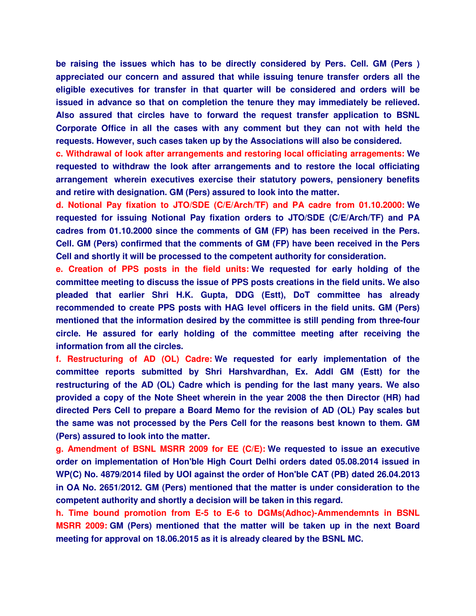**be raising the issues which has to be directly considered by Pers. Cell. GM (Pers ) appreciated our concern and assured that while issuing tenure transfer orders all the eligible executives for transfer in that quarter will be considered and orders will be issued in advance so that on completion the tenure they may immediately be relieved. Also assured that circles have to forward the request transfer application to BSNL Corporate Office in all the cases with any comment but they can not with held the requests. However, such cases taken up by the Associations will also be considered.**

**c. Withdrawal of look after arrangements and restoring local officiating arragements: We requested to withdraw the look after arrangements and to restore the local officiating arrangement wherein executives exercise their statutory powers, pensionery benefits and retire with designation. GM (Pers) assured to look into the matter.**

**d. Notional Pay fixation to JTO/SDE (C/E/Arch/TF) and PA cadre from 01.10.2000: We requested for issuing Notional Pay fixation orders to JTO/SDE (C/E/Arch/TF) and PA cadres from 01.10.2000 since the comments of GM (FP) has been received in the Pers. Cell. GM (Pers) confirmed that the comments of GM (FP) have been received in the Pers Cell and shortly it will be processed to the competent authority for consideration.**

**e. Creation of PPS posts in the field units: We requested for early holding of the committee meeting to discuss the issue of PPS posts creations in the field units. We also pleaded that earlier Shri H.K. Gupta, DDG (Estt), DoT committee has already recommended to create PPS posts with HAG level officers in the field units. GM (Pers) mentioned that the information desired by the committee is still pending from three-four circle. He assured for early holding of the committee meeting after receiving the information from all the circles.**

**f. Restructuring of AD (OL) Cadre: We requested for early implementation of the committee reports submitted by Shri Harshvardhan, Ex. Addl GM (Estt) for the restructuring of the AD (OL) Cadre which is pending for the last many years. We also provided a copy of the Note Sheet wherein in the year 2008 the then Director (HR) had directed Pers Cell to prepare a Board Memo for the revision of AD (OL) Pay scales but the same was not processed by the Pers Cell for the reasons best known to them. GM (Pers) assured to look into the matter.**

**g. Amendment of BSNL MSRR 2009 for EE (C/E): We requested to issue an executive order on implementation of Hon'ble High Court Delhi orders dated 05.08.2014 issued in WP(C) No. 4879/2014 filed by UOI against the order of Hon'ble CAT (PB) dated 26.04.2013 in OA No. 2651/2012. GM (Pers) mentioned that the matter is under consideration to the competent authority and shortly a decision will be taken in this regard.**

**h. Time bound promotion from E-5 to E-6 to DGMs(Adhoc)-Ammendemnts in BSNL MSRR 2009: GM (Pers) mentioned that the matter will be taken up in the next Board meeting for approval on 18.06.2015 as it is already cleared by the BSNL MC.**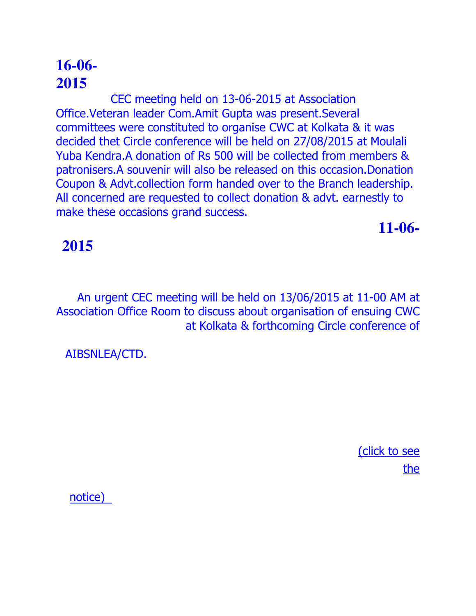CEC meeting held on 13-06-2015 at Association Office.Veteran leader Com.Amit Gupta was present.Several committees were constituted to organise CWC at Kolkata & it was decided thet Circle conference will be held on 27/08/2015 at Moulali Yuba Kendra.A donation of Rs 500 will be collected from members & patronisers.A souvenir will also be released on this occasion.Donation Coupon & Advt.collection form handed over to the Branch leadership. All concerned are requested to collect donation & advt. earnestly to make these occasions grand success.

**11-06-**

# **2015**

An urgent CEC meeting will be held on 13/06/2015 at 11-00 AM at Association Office Room to discuss about organisation of ensuing CWC at Kolkata & forthcoming Circle conference of

AIBSNLEA/CTD.

(click to see the

notice)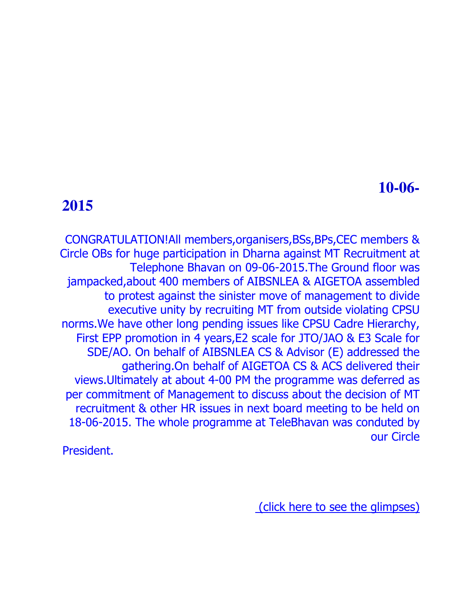## **2015**

CONGRATULATION!All members,organisers,BSs,BPs,CEC members & Circle OBs for huge participation in Dharna against MT Recruitment at Telephone Bhavan on 09-06-2015.The Ground floor was jampacked,about 400 members of AIBSNLEA & AIGETOA assembled to protest against the sinister move of management to divide executive unity by recruiting MT from outside violating CPSU norms.We have other long pending issues like CPSU Cadre Hierarchy, First EPP promotion in 4 years,E2 scale for JTO/JAO & E3 Scale for SDE/AO. On behalf of AIBSNLEA CS & Advisor (E) addressed the gathering.On behalf of AIGETOA CS & ACS delivered their views.Ultimately at about 4-00 PM the programme was deferred as per commitment of Management to discuss about the decision of MT recruitment & other HR issues in next board meeting to be held on 18-06-2015. The whole programme at TeleBhavan was conduted by our Circle

President.

(click here to see the glimpses)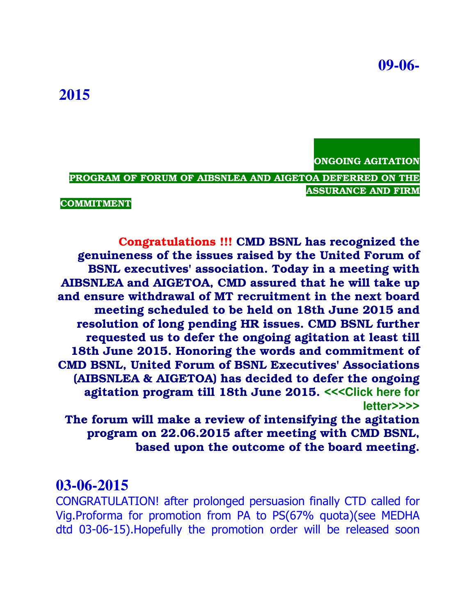ONGOING AGITATION

PROGRAM OF FORUM OF AIBSNLEA AND AIGETOA DEFERRED ON THE ASSURANCE AND FIRM

COMMITMENT

Congratulations !!! CMD BSNL has recognized the genuineness of the issues raised by the United Forum of BSNL executives' association. Today in a meeting with AIBSNLEA and AIGETOA, CMD assured that he will take up and ensure withdrawal of MT recruitment in the next board meeting scheduled to be held on 18th June 2015 and resolution of long pending HR issues. CMD BSNL further requested us to defer the ongoing agitation at least till 18th June 2015. Honoring the words and commitment of CMD BSNL, United Forum of BSNL Executives' Associations (AIBSNLEA & AIGETOA) has decided to defer the ongoing agitation program till 18th June 2015. <<<**Click here for letter**>>>>

The forum will make a review of intensifying the agitation program on 22.06.2015 after meeting with CMD BSNL, based upon the outcome of the board meeting.

#### **03-06-2015**

CONGRATULATION! after prolonged persuasion finally CTD called for Vig.Proforma for promotion from PA to PS(67% quota)(see MEDHA dtd 03-06-15).Hopefully the promotion order will be released soon